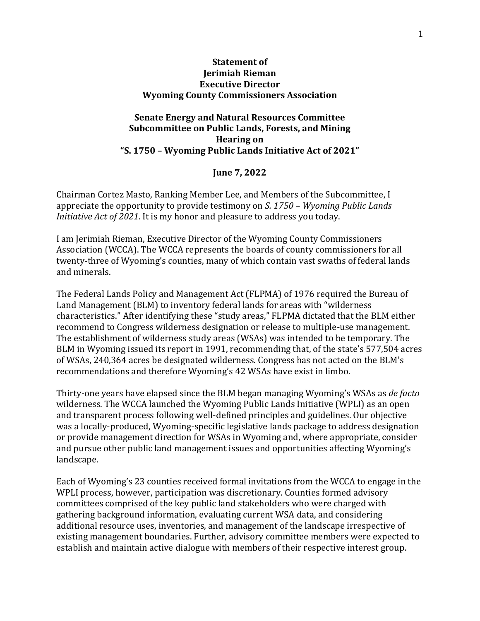### **Statement of Jerimiah Rieman Executive Director Wyoming County Commissioners Association**

## **Senate Energy and Natural Resources Committee Subcommittee on Public Lands, Forests, and Mining Hearing on "S. 1750 – Wyoming Public Lands Initiative Act of 2021"**

#### **June 7, 2022**

Chairman Cortez Masto, Ranking Member Lee, and Members of the Subcommittee, I appreciate the opportunity to provide testimony on *S. 1750 – Wyoming Public Lands Initiative Act of 2021*. It is my honor and pleasure to address you today.

I am Jerimiah Rieman, Executive Director of the Wyoming County Commissioners Association (WCCA). The WCCA represents the boards of county commissioners for all twenty-three of Wyoming's counties, many of which contain vast swaths of federal lands and minerals.

The Federal Lands Policy and Management Act (FLPMA) of 1976 required the Bureau of Land Management (BLM) to inventory federal lands for areas with "wilderness characteristics." After identifying these "study areas," FLPMA dictated that the BLM either recommend to Congress wilderness designation or release to multiple-use management. The establishment of wilderness study areas (WSAs) was intended to be temporary. The BLM in Wyoming issued its report in 1991, recommending that, of the state's 577,504 acres of WSAs, 240,364 acres be designated wilderness. Congress has not acted on the BLM's recommendations and therefore Wyoming's 42 WSAs have exist in limbo.

Thirty-one years have elapsed since the BLM began managing Wyoming's WSAs as *de facto* wilderness. The WCCA launched the Wyoming Public Lands Initiative (WPLI) as an open and transparent process following well-defined principles and guidelines. Our objective was a locally-produced, Wyoming-specific legislative lands package to address designation or provide management direction for WSAs in Wyoming and, where appropriate, consider and pursue other public land management issues and opportunities affecting Wyoming's landscape.

Each of Wyoming's 23 counties received formal invitations from the WCCA to engage in the WPLI process, however, participation was discretionary. Counties formed advisory committees comprised of the key public land stakeholders who were charged with gathering background information, evaluating current WSA data, and considering additional resource uses, inventories, and management of the landscape irrespective of existing management boundaries. Further, advisory committee members were expected to establish and maintain active dialogue with members of their respective interest group.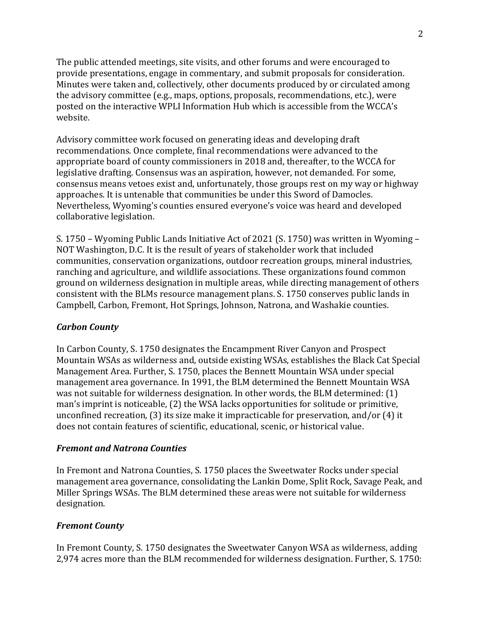The public attended meetings, site visits, and other forums and were encouraged to provide presentations, engage in commentary, and submit proposals for consideration. Minutes were taken and, collectively, other documents produced by or circulated among the advisory committee (e.g., maps, options, proposals, recommendations, etc.), were posted on the interactive WPLI Information Hub which is accessible from the WCCA's website.

Advisory committee work focused on generating ideas and developing draft recommendations. Once complete, final recommendations were advanced to the appropriate board of county commissioners in 2018 and, thereafter, to the WCCA for legislative drafting. Consensus was an aspiration, however, not demanded. For some, consensus means vetoes exist and, unfortunately, those groups rest on my way or highway approaches. It is untenable that communities be under this Sword of Damocles. Nevertheless, Wyoming's counties ensured everyone's voice was heard and developed collaborative legislation.

S. 1750 – Wyoming Public Lands Initiative Act of 2021 (S. 1750) was written in Wyoming – NOT Washington, D.C. It is the result of years of stakeholder work that included communities, conservation organizations, outdoor recreation groups, mineral industries, ranching and agriculture, and wildlife associations. These organizations found common ground on wilderness designation in multiple areas, while directing management of others consistent with the BLMs resource management plans. S. 1750 conserves public lands in Campbell, Carbon, Fremont, Hot Springs, Johnson, Natrona, and Washakie counties.

## *Carbon County*

In Carbon County, S. 1750 designates the Encampment River Canyon and Prospect Mountain WSAs as wilderness and, outside existing WSAs, establishes the Black Cat Special Management Area. Further, S. 1750, places the Bennett Mountain WSA under special management area governance. In 1991, the BLM determined the Bennett Mountain WSA was not suitable for wilderness designation. In other words, the BLM determined: (1) man's imprint is noticeable, (2) the WSA lacks opportunities for solitude or primitive, unconfined recreation, (3) its size make it impracticable for preservation, and/or (4) it does not contain features of scientific, educational, scenic, or historical value.

## *Fremont and Natrona Counties*

In Fremont and Natrona Counties, S. 1750 places the Sweetwater Rocks under special management area governance, consolidating the Lankin Dome, Split Rock, Savage Peak, and Miller Springs WSAs. The BLM determined these areas were not suitable for wilderness designation.

# *Fremont County*

In Fremont County, S. 1750 designates the Sweetwater Canyon WSA as wilderness, adding 2,974 acres more than the BLM recommended for wilderness designation. Further, S. 1750: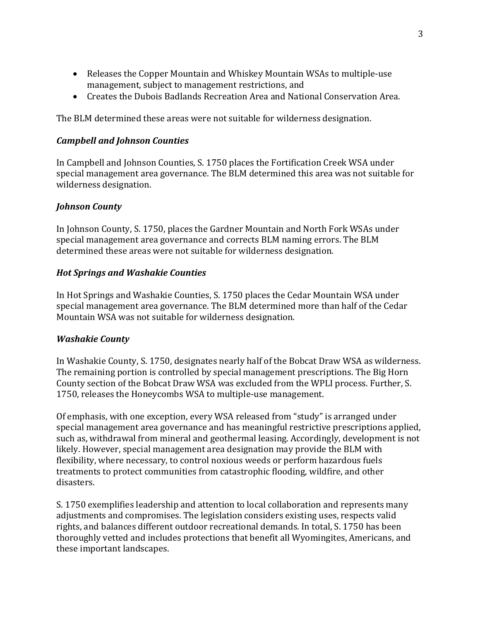- Releases the Copper Mountain and Whiskey Mountain WSAs to multiple-use management, subject to management restrictions, and
- Creates the Dubois Badlands Recreation Area and National Conservation Area.

The BLM determined these areas were not suitable for wilderness designation.

## *Campbell and Johnson Counties*

In Campbell and Johnson Counties, S. 1750 places the Fortification Creek WSA under special management area governance. The BLM determined this area was not suitable for wilderness designation.

# *Johnson County*

In Johnson County, S. 1750, places the Gardner Mountain and North Fork WSAs under special management area governance and corrects BLM naming errors. The BLM determined these areas were not suitable for wilderness designation.

# *Hot Springs and Washakie Counties*

In Hot Springs and Washakie Counties, S. 1750 places the Cedar Mountain WSA under special management area governance. The BLM determined more than half of the Cedar Mountain WSA was not suitable for wilderness designation.

## *Washakie County*

In Washakie County, S. 1750, designates nearly half of the Bobcat Draw WSA as wilderness. The remaining portion is controlled by special management prescriptions. The Big Horn County section of the Bobcat Draw WSA was excluded from the WPLI process. Further, S. 1750, releases the Honeycombs WSA to multiple-use management.

Of emphasis, with one exception, every WSA released from "study" is arranged under special management area governance and has meaningful restrictive prescriptions applied, such as, withdrawal from mineral and geothermal leasing. Accordingly, development is not likely. However, special management area designation may provide the BLM with flexibility, where necessary, to control noxious weeds or perform hazardous fuels treatments to protect communities from catastrophic flooding, wildfire, and other disasters.

S. 1750 exemplifies leadership and attention to local collaboration and represents many adjustments and compromises. The legislation considers existing uses, respects valid rights, and balances different outdoor recreational demands. In total, S. 1750 has been thoroughly vetted and includes protections that benefit all Wyomingites, Americans, and these important landscapes.